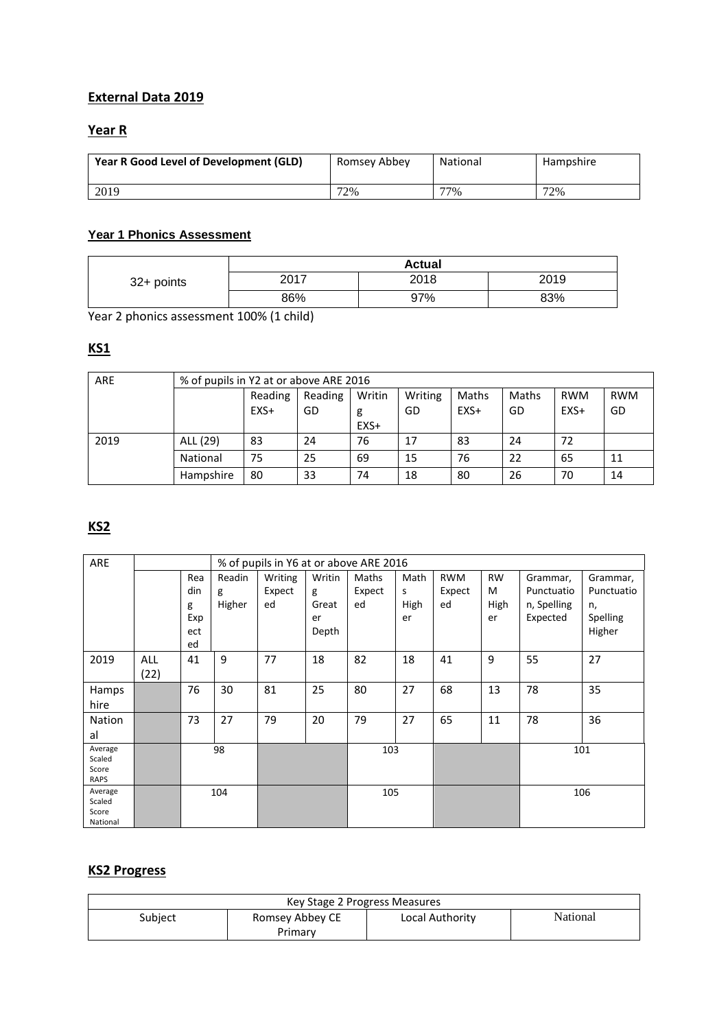### **External Data 2019**

# **Year R**

| Year R Good Level of Development (GLD) | Romsey Abbey | National | Hampshire |
|----------------------------------------|--------------|----------|-----------|
| 2019                                   | 72%          | 77%      | 72%       |

#### **Year 1 Phonics Assessment**

|            | <b>Actual</b> |      |      |  |  |
|------------|---------------|------|------|--|--|
| 32+ points | 2017          | 2018 | 2019 |  |  |
|            | 86%           | 97%  | 83%  |  |  |

Year 2 phonics assessment 100% (1 child)

# **KS1**

| ARE  | % of pupils in Y2 at or above ARE 2016 |         |         |        |         |        |       |            |            |
|------|----------------------------------------|---------|---------|--------|---------|--------|-------|------------|------------|
|      |                                        | Reading | Reading | Writin | Writing | Maths  | Maths | <b>RWM</b> | <b>RWM</b> |
|      |                                        | EXS+    | GD      | g      | GD      | $EXS+$ | GD    | $EXS+$     | GD         |
|      |                                        |         |         | EXS+   |         |        |       |            |            |
| 2019 | ALL (29)                               | 83      | 24      | 76     | 17      | 83     | 24    | 72         |            |
|      | National                               | 75      | 25      | 69     | 15      | 76     | 22    | 65         | 11         |
|      | Hampshire                              | 80      | 33      | 74     | 18      | 80     | 26    | 70         | 14         |

# **KS2**

| ARE             |      |     |        | % of pupils in Y6 at or above ARE 2016 |        |        |      |            |           |             |            |
|-----------------|------|-----|--------|----------------------------------------|--------|--------|------|------------|-----------|-------------|------------|
|                 |      | Rea | Readin | Writing                                | Writin | Maths  | Math | <b>RWM</b> | <b>RW</b> | Grammar,    | Grammar,   |
|                 |      | din | g      | Expect                                 | g      | Expect | s.   | Expect     | M         | Punctuatio  | Punctuatio |
|                 |      | g   | Higher | ed                                     | Great  | ed     | High | ed         | High      | n, Spelling | n,         |
|                 |      | Exp |        |                                        | er     |        | er   |            | er        | Expected    | Spelling   |
|                 |      | ect |        |                                        | Depth  |        |      |            |           |             | Higher     |
|                 |      | ed  |        |                                        |        |        |      |            |           |             |            |
| 2019            | ALL  | 41  | 9      | 77                                     | 18     | 82     | 18   | 41         | 9         | 55          | 27         |
|                 | (22) |     |        |                                        |        |        |      |            |           |             |            |
| Hamps           |      | 76  | 30     | 81                                     | 25     | 80     | 27   | 68         | 13        | 78          | 35         |
| hire            |      |     |        |                                        |        |        |      |            |           |             |            |
| Nation          |      | 73  | 27     | 79                                     | 20     | 79     | 27   | 65         | 11        | 78          | 36         |
| al              |      |     |        |                                        |        |        |      |            |           |             |            |
| Average         |      |     | 98     |                                        |        | 103    |      |            |           |             | 101        |
| Scaled<br>Score |      |     |        |                                        |        |        |      |            |           |             |            |
| RAPS            |      |     |        |                                        |        |        |      |            |           |             |            |
| Average         |      |     | 104    |                                        |        | 105    |      |            |           |             | 106        |
| Scaled<br>Score |      |     |        |                                        |        |        |      |            |           |             |            |
| National        |      |     |        |                                        |        |        |      |            |           |             |            |

### **KS2 Progress**

| Key Stage 2 Progress Measures                             |         |  |  |  |  |  |
|-----------------------------------------------------------|---------|--|--|--|--|--|
| National<br>Romsey Abbey CE<br>Subject<br>Local Authority |         |  |  |  |  |  |
|                                                           | Primary |  |  |  |  |  |